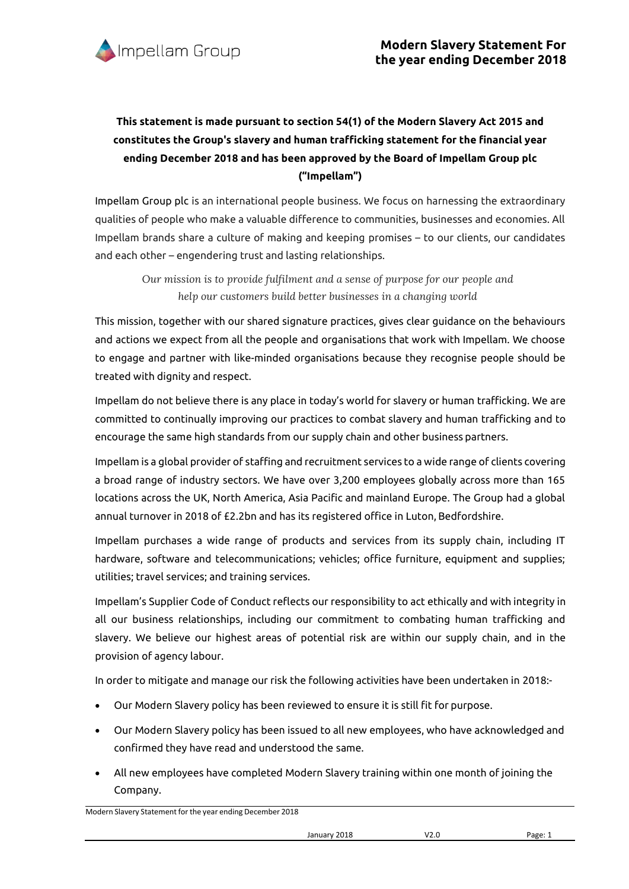

## **This statement is made pursuant to section 54(1) of the Modern Slavery Act 2015 and constitutes the Group's slavery and human trafficking statement for the financial year ending December 2018 and has been approved by the Board of Impellam Group plc ("Impellam")**

Impellam Group plc is an international people business. We focus on harnessing the extraordinary qualities of people who make a valuable difference to communities, businesses and economies. All Impellam brands share a culture of making and keeping promises – to our clients, our candidates and each other – engendering trust and lasting relationships.

*Our mission is to provide fulfilment and a sense of purpose for our people and help our customers build better businesses in a changing world*

This mission, together with our shared signature practices, gives clear guidance on the behaviours and actions we expect from all the people and organisations that work with Impellam. We choose to engage and partner with like-minded organisations because they recognise people should be treated with dignity and respect.

Impellam do not believe there is any place in today's world for slavery or human trafficking. We are committed to continually improving our practices to combat slavery and human trafficking and to encourage the same high standards from our supply chain and other business partners.

Impellam is a global provider of staffing and recruitment services to a wide range of clients covering a broad range of industry sectors. We have over 3,200 employees globally across more than 165 locations across the UK, North America, Asia Pacific and mainland Europe. The Group had a global annual turnover in 2018 of £2.2bn and has its registered office in Luton, Bedfordshire.

Impellam purchases a wide range of products and services from its supply chain, including IT hardware, software and telecommunications; vehicles; office furniture, equipment and supplies; utilities; travel services; and training services.

Impellam's Supplier Code of Conduct reflects our responsibility to act ethically and with integrity in all our business relationships, including our commitment to combating human trafficking and slavery. We believe our highest areas of potential risk are within our supply chain, and in the provision of agency labour.

In order to mitigate and manage our risk the following activities have been undertaken in 2018:-

- Our Modern Slavery policy has been reviewed to ensure it is still fit for purpose.
- Our Modern Slavery policy has been issued to all new employees, who have acknowledged and confirmed they have read and understood the same.
- All new employees have completed Modern Slavery training within one month of joining the Company.

Modern Slavery Statement for the year ending December 2018